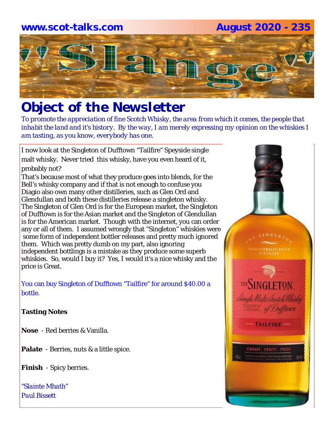## **www.scot-talks.com August 2020 - 235**121

### *Object of the Newsletter*

*To promote the appreciation of fine Scotch Whisky, the area from which it comes, the people that inhabit the land and it's history. By the way, I am merely expressing my opinion on the whiskies I am tasting, as you know, everybody has one.* 

I now look at the Singleton of Dufftown "Tailfire" Speyside single malt whisky. Never tried this whisky, have you even heard of it, probably not?

That's because most of what they produce goes into blends, for the Bell's whisky company and if that is not enough to confuse you Diagio also own many other distilleries, such as Glen Ord and Glendullan and both these distilleries release a singleton whisky. The Singleton of Glen Ord is for the European market, the Singleton of Dufftown is for the Asian market and the Singleton of Glendullan is for the American market. Though with the internet, you can order any or all of them. I assumed wrongly that "Singleton" whiskies were some form of independent bottler releases and pretty much ignored them. Which was pretty dumb on my part, also ignoring independent bottlings is a mistake as they produce some superb whiskies. So, would I buy it? Yes, I would it's a nice whisky and the price is Great.

You can buy Singleton of Dufftown "Tailfire" for around \$40.00 a bottle.

#### **Tasting Notes**

**Nose** - Red berries & Vanilla.

**Palate** - Berries, nuts & a little spice.

**Finish** - Spicy berries.

*"Slainte Mhath" Paul Bissett*

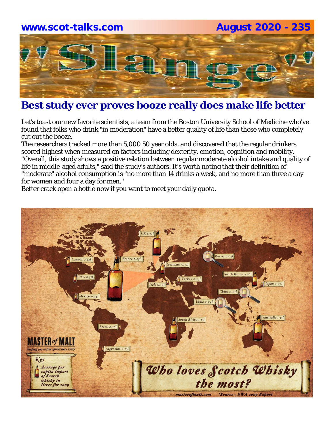## **www.scot-talks.com August 2020 - 235**121

#### **Best study ever proves booze really does make life better**

Let's toast our new favorite scientists, a team from the Boston University School of Medicine who've found that folks who drink "in moderation" have a better quality of life than those who completely cut out the booze.

The researchers tracked more than 5,000 50 year olds, and discovered that the regular drinkers scored highest when measured on factors including dexterity, emotion, cognition and mobility. "Overall, this study shows a positive relation between regular moderate alcohol intake and quality of life in middle-aged adults," said the study's authors. It's worth noting that their definition of "moderate" alcohol consumption is "no more than 14 drinks a week, and no more than three a day for women and four a day for men."

Better crack open a bottle now if you want to meet your daily quota.

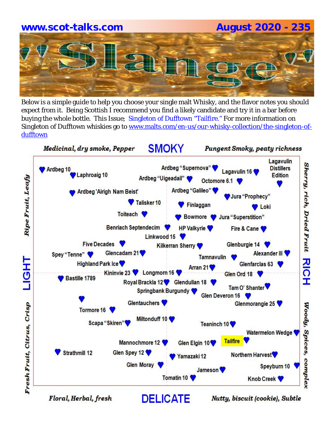# **www.scot-talks.com August 2020 - 235**

Below is a simple guide to help you choose your single malt Whisky, and the flavor notes you should expect from it. Being Scottish I recommend you find a likely candidate and try it in a bar before buying the whole bottle. This Issue; Singleton of Dufftown "Tailfire." For more information on Singleton of Dufftown whiskies go to www.malts.com/en-us/our-whisky-collection/the-singleton-ofdufftown



Floral, Herbal, fresh

Nutty, biscuit (cookie), Subtle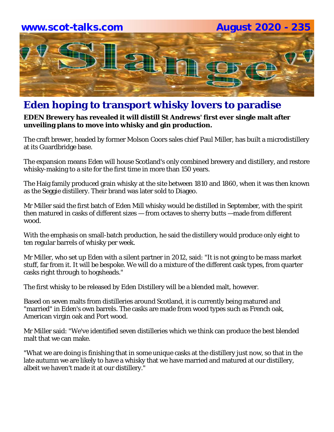

#### **Eden hoping to transport whisky lovers to paradise**

**EDEN Brewery has revealed it will distill St Andrews' first ever single malt after unveiling plans to move into whisky and gin production.**

The craft brewer, headed by former Molson Coors sales chief Paul Miller, has built a microdistillery at its Guardbridge base.

The expansion means Eden will house Scotland's only combined brewery and distillery, and restore whisky-making to a site for the first time in more than 150 years.

The Haig family produced grain whisky at the site between 1810 and 1860, when it was then known as the Seggie distillery. Their brand was later sold to Diageo.

Mr Miller said the first batch of Eden Mill whisky would be distilled in September, with the spirit then matured in casks of different sizes — from octaves to sherry butts —made from different wood.

With the emphasis on small-batch production, he said the distillery would produce only eight to ten regular barrels of whisky per week.

Mr Miller, who set up Eden with a silent partner in 2012, said: "It is not going to be mass market stuff, far from it. It will be bespoke. We will do a mixture of the different cask types, from quarter casks right through to hogsheads."

The first whisky to be released by Eden Distillery will be a blended malt, however.

Based on seven malts from distilleries around Scotland, it is currently being matured and "married" in Eden's own barrels. The casks are made from wood types such as French oak, American virgin oak and Port wood.

Mr Miller said: "We've identified seven distilleries which we think can produce the best blended malt that we can make.

"What we are doing is finishing that in some unique casks at the distillery just now, so that in the late autumn we are likely to have a whisky that we have married and matured at our distillery, albeit we haven't made it at our distillery."